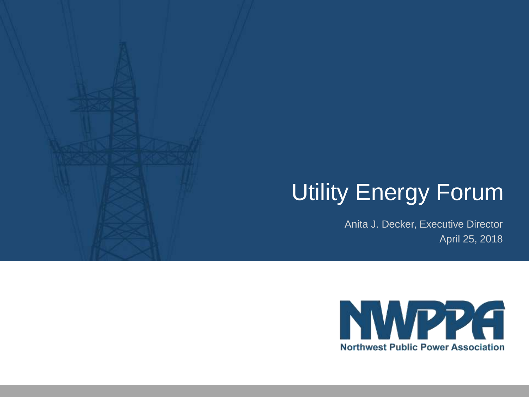## Utility Energy Forum

Anita J. Decker, Executive Director April 25, 2018

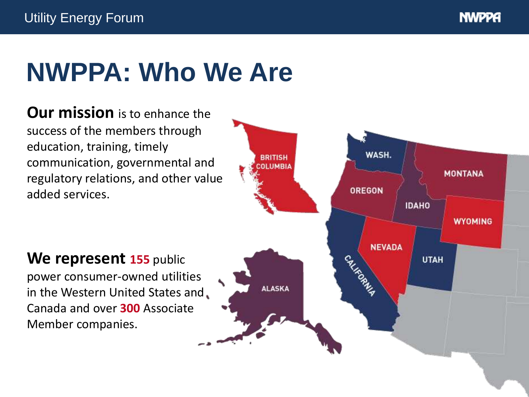# **NWPPA: Who We Are**

**Our mission** is to enhance the success of the members through education, training, timely communication, governmental and regulatory relations, and other value added services.



#### **We represent 155** public

power consumer-owned utilities in the Western United States and Canada and over **300** Associate Member companies.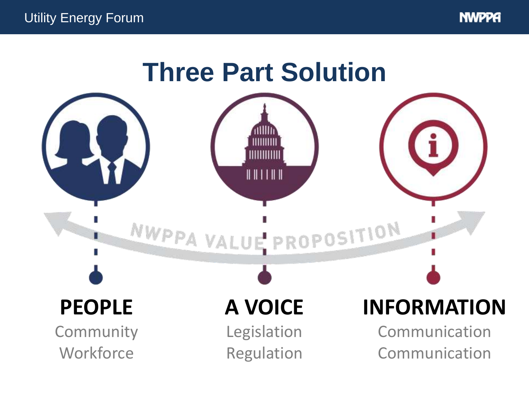

### **Three Part Solution**

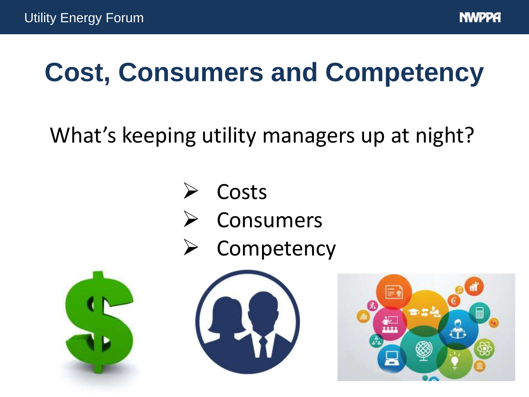# **Cost, Consumers and Competency**

#### What's keeping utility managers up at night?

- **Costs**
- **Consumers**
- **Competency**





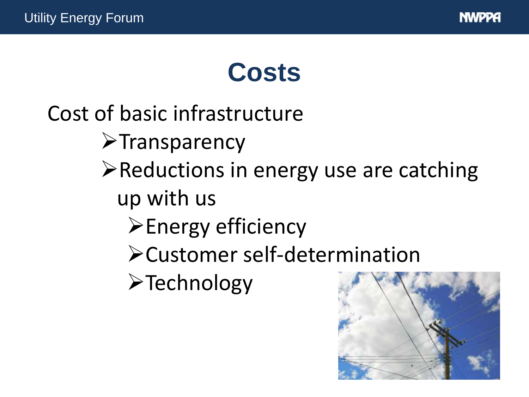

## **Costs**

#### Cost of basic infrastructure

- ➢Transparency
- ➢Reductions in energy use are catching up with us
	- ➢Energy efficiency
	- ➢Customer self-determination
	- ➢Technology

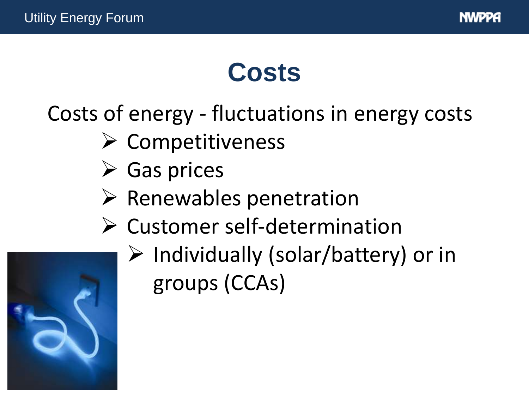

## **Costs**

#### Costs of energy - fluctuations in energy costs

- ➢ Competitiveness
- ➢ Gas prices
- ➢ Renewables penetration
- ➢ Customer self-determination



➢ Individually (solar/battery) or in groups (CCAs)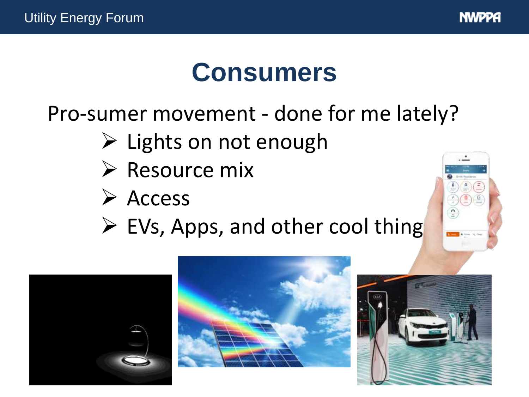

# **Consumers**

Pro-sumer movement - done for me lately?

- ➢ Lights on not enough
- ➢ Resource mix
- ➢ Access
- $\triangleright$  EVs, Apps, and other cool thing







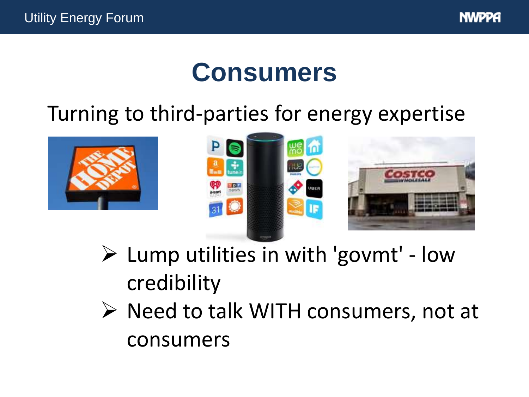

## **Consumers**

#### Turning to third-parties for energy expertise





- ➢ Lump utilities in with 'govmt' low credibility
- ➢ Need to talk WITH consumers, not at consumers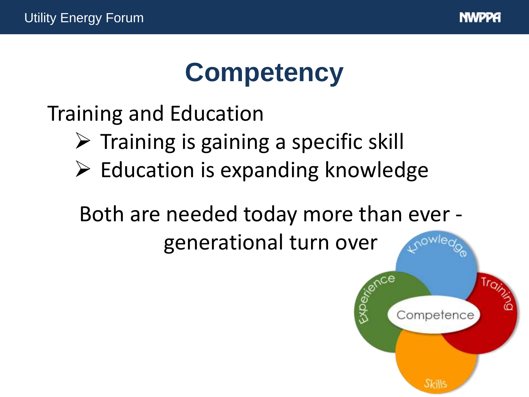

# **Competency**

Training and Education

- $\triangleright$  Training is gaining a specific skill
- $\triangleright$  Education is expanding knowledge

Both are needed today more than ever -

generational turn over

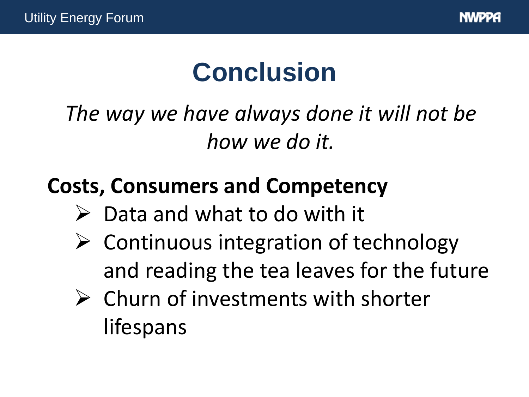# **Conclusion**

*The way we have always done it will not be how we do it.*

#### **Costs, Consumers and Competency**

- $\triangleright$  Data and what to do with it
- $\triangleright$  Continuous integration of technology and reading the tea leaves for the future
- ➢ Churn of investments with shorter lifespans